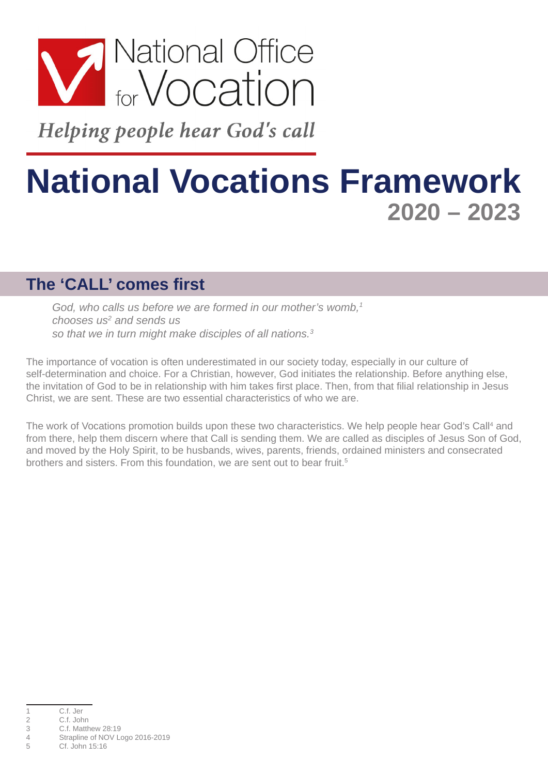

Helping people hear God's call

# **National Vocations Framework 2020 – 2023**

#### **The 'CALL' comes first**

God, who calls us before we are formed in our mother's womb,<sup>1</sup> *chooses us2 and sends us so that we in turn might make disciples of all nations.3*

The importance of vocation is often underestimated in our society today, especially in our culture of self-determination and choice. For a Christian, however, God initiates the relationship. Before anything else, the invitation of God to be in relationship with him takes first place. Then, from that filial relationship in Jesus Christ, we are sent. These are two essential characteristics of who we are.

The work of Vocations promotion builds upon these two characteristics. We help people hear God's Call<sup>4</sup> and from there, help them discern where that Call is sending them. We are called as disciples of Jesus Son of God, and moved by the Holy Spirit, to be husbands, wives, parents, friends, ordained ministers and consecrated brothers and sisters. From this foundation, we are sent out to bear fruit.<sup>5</sup>

<sup>1</sup> C.f. Jer<br>2 C.f. Joh

<sup>2</sup> C.f. John<br>3 C.f. Matth

<sup>3</sup> C.f. Matthew 28:19

Strapline of NOV Logo 2016-2019

<sup>5</sup> Cf. John 15:16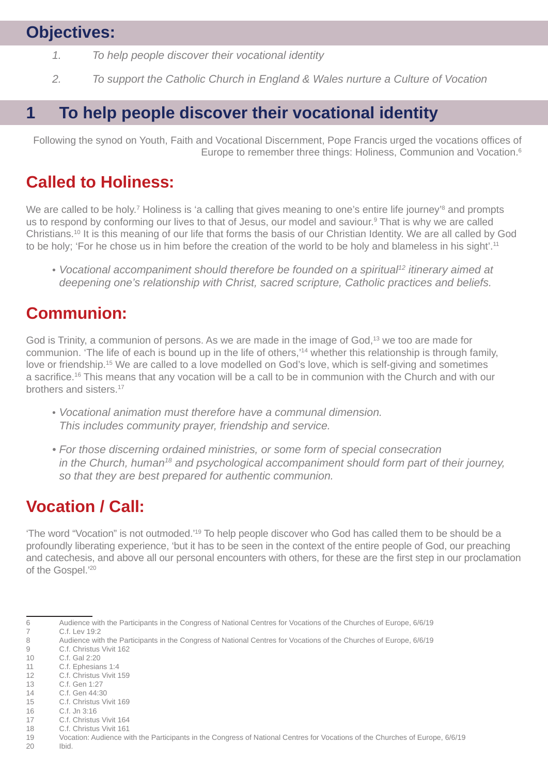## **Objectives:**

- *1. To help people discover their vocational identity*
- *2. To support the Catholic Church in England & Wales nurture a Culture of Vocation*

## **1 To help people discover their vocational identity**

Following the synod on Youth, Faith and Vocational Discernment, Pope Francis urged the vocations offices of Europe to remember three things: Holiness, Communion and Vocation.<sup>6</sup>

#### **Called to Holiness:**

We are called to be holy.<sup>7</sup> Holiness is 'a calling that gives meaning to one's entire life journey'<sup>8</sup> and prompts us to respond by conforming our lives to that of Jesus, our model and saviour. 9 That is why we are called Christians.<sup>10</sup> It is this meaning of our life that forms the basis of our Christian Identity. We are all called by God to be holy; 'For he chose us in him before the creation of the world to be holy and blameless in his sight'.<sup>11</sup>

• *Vocational accompaniment should therefore be founded on a spiritual12 itinerary aimed at deepening one's relationship with Christ, sacred scripture, Catholic practices and beliefs.*

#### **Communion:**

God is Trinity, a communion of persons. As we are made in the image of God,<sup>13</sup> we too are made for communion. 'The life of each is bound up in the life of others,'<sup>14</sup> whether this relationship is through family, love or friendship.<sup>15</sup> We are called to a love modelled on God's love, which is self-giving and sometimes a sacrifice.16 This means that any vocation will be a call to be in communion with the Church and with our brothers and sisters.17

- *Vocational animation must therefore have a communal dimension. This includes community prayer, friendship and service.*
- *• For those discerning ordained ministries, or some form of special consecration in the Church, human18 and psychological accompaniment should form part of their journey, so that they are best prepared for authentic communion.*

#### **Vocation / Call:**

'The word "Vocation" is not outmoded.'19 To help people discover who God has called them to be should be a profoundly liberating experience, 'but it has to be seen in the context of the entire people of God, our preaching and catechesis, and above all our personal encounters with others, for these are the first step in our proclamation of the Gospel.'20

C.f. Christus Vivit 162

- 11 C.f. Ephesians 1:4 12 C.f. Christus Vivit 159
- 13 C.f. Gen 1:27
- $14$  C f Gen  $44.30$
- 15 C.f. Christus Vivit 169
- 16 C.f. Jn 3:16
- 17 C.f. Christus Vivit 164
- 18 C.f. Christus Vivit 161
- 19 Vocation: Audience with the Participants in the Congress of National Centres for Vocations of the Churches of Europe, 6/6/19
- 20 Ibid.

<sup>6</sup> Audience with the Participants in the Congress of National Centres for Vocations of the Churches of Europe, 6/6/19

<sup>7</sup> C.f. Lev 19:2<br>8 Audience wit

<sup>8</sup> Audience with the Participants in the Congress of National Centres for Vocations of the Churches of Europe, 6/6/19<br>9 C.f. Christus Vivit 162

<sup>10</sup> C.f. Gal 2:20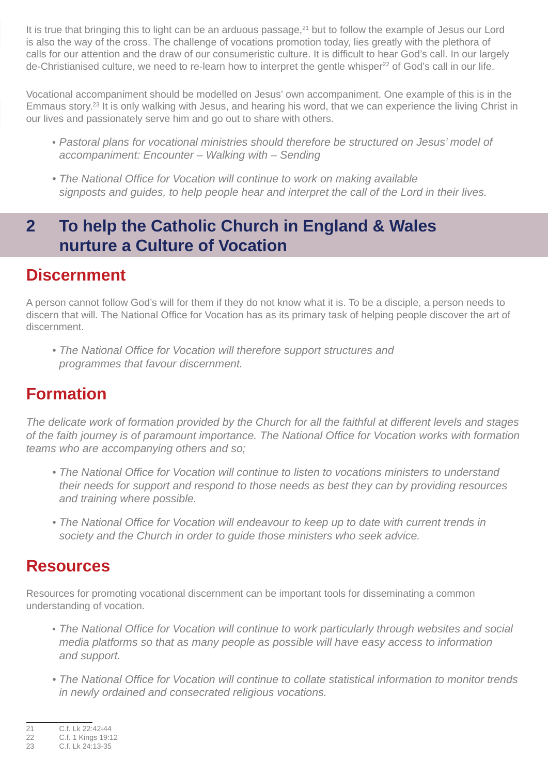It is true that bringing this to light can be an arduous passage,<sup>21</sup> but to follow the example of Jesus our Lord is also the way of the cross. The challenge of vocations promotion today, lies greatly with the plethora of calls for our attention and the draw of our consumeristic culture. It is difficult to hear God's call. In our largely  $de$ -Christianised culture, we need to re-learn how to interpret the gentle whisper<sup>22</sup> of God's call in our life.

Vocational accompaniment should be modelled on Jesus' own accompaniment. One example of this is in the Emmaus story.23 It is only walking with Jesus, and hearing his word, that we can experience the living Christ in our lives and passionately serve him and go out to share with others.

- *Pastoral plans for vocational ministries should therefore be structured on Jesus' model of accompaniment: Encounter – Walking with – Sending*
- *• The National Office for Vocation will continue to work on making available signposts and guides, to help people hear and interpret the call of the Lord in their lives.*

### **2 To help the Catholic Church in England & Wales nurture a Culture of Vocation**

#### **Discernment**

A person cannot follow God's will for them if they do not know what it is. To be a disciple, a person needs to discern that will. The National Office for Vocation has as its primary task of helping people discover the art of discernment.

*• The National Office for Vocation will therefore support structures and programmes that favour discernment.* 

# **Formation**

*The delicate work of formation provided by the Church for all the faithful at different levels and stages of the faith journey is of paramount importance. The National Office for Vocation works with formation teams who are accompanying others and so;*

- *• The National Office for Vocation will continue to listen to vocations ministers to understand their needs for support and respond to those needs as best they can by providing resources and training where possible.*
- *• The National Office for Vocation will endeavour to keep up to date with current trends in society and the Church in order to guide those ministers who seek advice.*

#### **Resources**

Resources for promoting vocational discernment can be important tools for disseminating a common understanding of vocation.

- *The National Office for Vocation will continue to work particularly through websites and social media platforms so that as many people as possible will have easy access to information and support.*
- *• The National Office for Vocation will continue to collate statistical information to monitor trends in newly ordained and consecrated religious vocations.*

<sup>21</sup> C.f. Lk 22:42-44<br>22 C.f. 1 Kings 19:1

<sup>22</sup> C.f. 1 Kings 19:12

<sup>23</sup> C.f. Lk 24:13-35